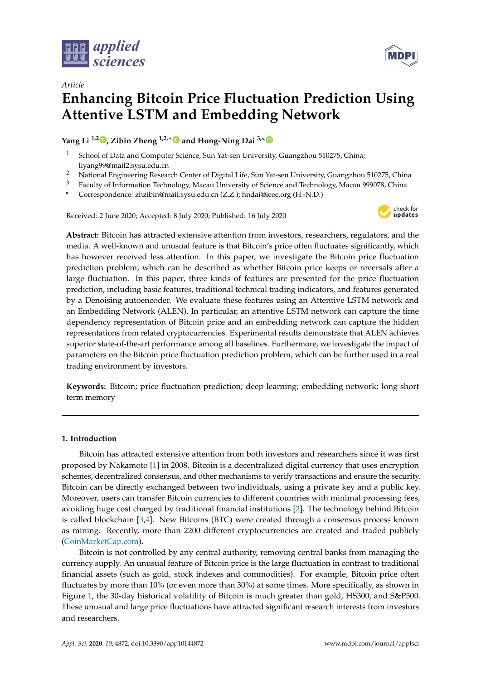



# *Article* **Enhancing Bitcoin Price Fluctuation Prediction Using Attentive LSTM and Embedding Network**

**Yang Li 1,2 [,](https://orcid.org/0000-0001-5653-1829) Zibin Zheng 1,2,**[∗](https://orcid.org/0000-0002-7878-4330) **and Hong-Ning Dai 3,[\\*](https://orcid.org/0000-0001-6165-4196)**

- School of Data and Computer Science, Sun Yat-sen University, Guangzhou 510275, China; liyang99@mail2.sysu.edu.cn
- <sup>2</sup> National Engineering Research Center of Digital Life, Sun Yat-sen University, Guangzhou 510275, China
- <sup>3</sup> Faculty of Information Technology, Macau University of Science and Technology, Macau 999078, China
- **\*** Correspondence: zhzibin@mail.sysu.edu.cn (Z.Z.); hndai@ieee.org (H.-N.D.)

Received: 2 June 2020; Accepted: 8 July 2020; Published: 16 July 2020



**Abstract:** Bitcoin has attracted extensive attention from investors, researchers, regulators, and the media. A well-known and unusual feature is that Bitcoin's price often fluctuates significantly, which has however received less attention. In this paper, we investigate the Bitcoin price fluctuation prediction problem, which can be described as whether Bitcoin price keeps or reversals after a large fluctuation. In this paper, three kinds of features are presented for the price fluctuation prediction, including basic features, traditional technical trading indicators, and features generated by a Denoising autoencoder. We evaluate these features using an Attentive LSTM network and an Embedding Network (ALEN). In particular, an attentive LSTM network can capture the time dependency representation of Bitcoin price and an embedding network can capture the hidden representations from related cryptocurrencies. Experimental results demonstrate that ALEN achieves superior state-of-the-art performance among all baselines. Furthermore, we investigate the impact of parameters on the Bitcoin price fluctuation prediction problem, which can be further used in a real trading environment by investors.

**Keywords:** Bitcoin; price fluctuation prediction; deep learning; embedding network; long short term memory

## **1. Introduction**

Bitcoin has attracted extensive attention from both investors and researchers since it was first proposed by Nakamoto [\[1\]](#page-14-0) in 2008. Bitcoin is a decentralized digital currency that uses encryption schemes, decentralized consensus, and other mechanisms to verify transactions and ensure the security. Bitcoin can be directly exchanged between two individuals, using a private key and a public key. Moreover, users can transfer Bitcoin currencies to different countries with minimal processing fees, avoiding huge cost charged by traditional financial institutions [\[2\]](#page-14-1). The technology behind Bitcoin is called blockchain [\[3,](#page-14-2)[4\]](#page-14-3). New Bitcoins (BTC) were created through a consensus process known as mining. Recently, more than 2200 different cryptocurrencies are created and traded publicly [\(CoinMarketCap.com\)](CoinMarketCap.com).

Bitcoin is not controlled by any central authority, removing central banks from managing the currency supply. An unusual feature of Bitcoin price is the large fluctuation in contrast to traditional financial assets (such as gold, stock indexes and commodities). For example, Bitcoin price often fluctuates by more than 10% (or even more than 30%) at some times. More specifically, as shown in Figure [1,](#page-1-0) the 30-day historical volatility of Bitcoin is much greater than gold, HS300, and S&P500. These unusual and large price fluctuations have attracted significant research interests from investors and researchers.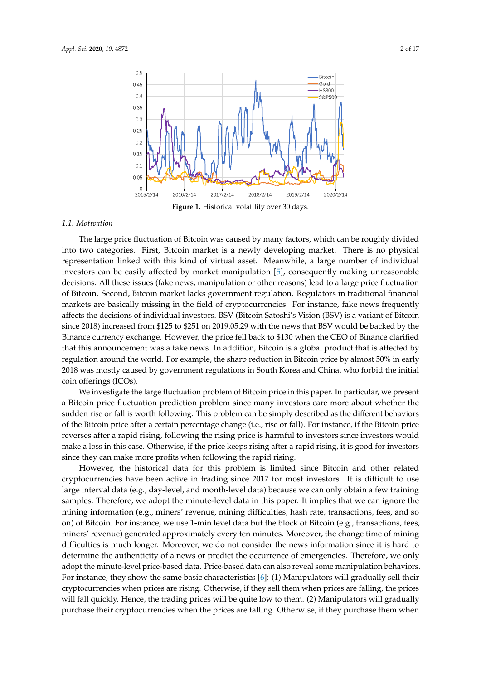<span id="page-1-0"></span>

#### *1.1. Motivation*

The large price fluctuation of Bitcoin was caused by many factors, which can be roughly divided into two categories. First, Bitcoin market is a newly developing market. There is no physical representation linked with this kind of virtual asset. Meanwhile, a large number of individual investors can be easily affected by market manipulation [\[5\]](#page-14-4), consequently making unreasonable decisions. All these issues (fake news, manipulation or other reasons) lead to a large price fluctuation of Bitcoin. Second, Bitcoin market lacks government regulation. Regulators in traditional financial markets are basically missing in the field of cryptocurrencies. For instance, fake news frequently affects the decisions of individual investors. BSV (Bitcoin Satoshi's Vision (BSV) is a variant of Bitcoin since 2018) increased from \$125 to \$251 on 2019.05.29 with the news that BSV would be backed by the Binance currency exchange. However, the price fell back to \$130 when the CEO of Binance clarified that this announcement was a fake news. In addition, Bitcoin is a global product that is affected by regulation around the world. For example, the sharp reduction in Bitcoin price by almost 50% in early 2018 was mostly caused by government regulations in South Korea and China, who forbid the initial coin offerings (ICOs).

We investigate the large fluctuation problem of Bitcoin price in this paper. In particular, we present a Bitcoin price fluctuation prediction problem since many investors care more about whether the sudden rise or fall is worth following. This problem can be simply described as the different behaviors of the Bitcoin price after a certain percentage change (i.e., rise or fall). For instance, if the Bitcoin price reverses after a rapid rising, following the rising price is harmful to investors since investors would make a loss in this case. Otherwise, if the price keeps rising after a rapid rising, it is good for investors since they can make more profits when following the rapid rising.

However, the historical data for this problem is limited since Bitcoin and other related cryptocurrencies have been active in trading since 2017 for most investors. It is difficult to use large interval data (e.g., day-level, and month-level data) because we can only obtain a few training samples. Therefore, we adopt the minute-level data in this paper. It implies that we can ignore the mining information (e.g., miners' revenue, mining difficulties, hash rate, transactions, fees, and so on) of Bitcoin. For instance, we use 1-min level data but the block of Bitcoin (e.g., transactions, fees, miners' revenue) generated approximately every ten minutes. Moreover, the change time of mining difficulties is much longer. Moreover, we do not consider the news information since it is hard to determine the authenticity of a news or predict the occurrence of emergencies. Therefore, we only adopt the minute-level price-based data. Price-based data can also reveal some manipulation behaviors. For instance, they show the same basic characteristics [\[6\]](#page-14-5): (1) Manipulators will gradually sell their cryptocurrencies when prices are rising. Otherwise, if they sell them when prices are falling, the prices will fall quickly. Hence, the trading prices will be quite low to them. (2) Manipulators will gradually purchase their cryptocurrencies when the prices are falling. Otherwise, if they purchase them when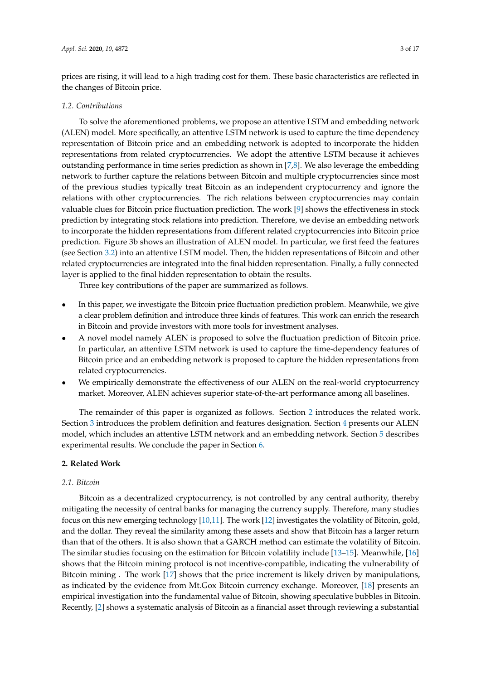prices are rising, it will lead to a high trading cost for them. These basic characteristics are reflected in the changes of Bitcoin price.

## *1.2. Contributions*

To solve the aforementioned problems, we propose an attentive LSTM and embedding network (ALEN) model. More specifically, an attentive LSTM network is used to capture the time dependency representation of Bitcoin price and an embedding network is adopted to incorporate the hidden representations from related cryptocurrencies. We adopt the attentive LSTM because it achieves outstanding performance in time series prediction as shown in [\[7,](#page-14-6)[8\]](#page-14-7). We also leverage the embedding network to further capture the relations between Bitcoin and multiple cryptocurrencies since most of the previous studies typically treat Bitcoin as an independent cryptocurrency and ignore the relations with other cryptocurrencies. The rich relations between cryptocurrencies may contain valuable clues for Bitcoin price fluctuation prediction. The work [\[9\]](#page-14-8) shows the effectiveness in stock prediction by integrating stock relations into prediction. Therefore, we devise an embedding network to incorporate the hidden representations from different related cryptocurrencies into Bitcoin price prediction. Figure 3b shows an illustration of ALEN model. In particular, we first feed the features (see Section [3.2\)](#page-4-0) into an attentive LSTM model. Then, the hidden representations of Bitcoin and other related cryptocurrencies are integrated into the final hidden representation. Finally, a fully connected layer is applied to the final hidden representation to obtain the results.

Three key contributions of the paper are summarized as follows.

- In this paper, we investigate the Bitcoin price fluctuation prediction problem. Meanwhile, we give a clear problem definition and introduce three kinds of features. This work can enrich the research in Bitcoin and provide investors with more tools for investment analyses.
- A novel model namely ALEN is proposed to solve the fluctuation prediction of Bitcoin price. In particular, an attentive LSTM network is used to capture the time-dependency features of Bitcoin price and an embedding network is proposed to capture the hidden representations from related cryptocurrencies.
- We empirically demonstrate the effectiveness of our ALEN on the real-world cryptocurrency market. Moreover, ALEN achieves superior state-of-the-art performance among all baselines.

The remainder of this paper is organized as follows. Section [2](#page-2-0) introduces the related work. Section [3](#page-3-0) introduces the problem definition and features designation. Section [4](#page-6-0) presents our ALEN model, which includes an attentive LSTM network and an embedding network. Section [5](#page-8-0) describes experimental results. We conclude the paper in Section [6.](#page-14-9)

## <span id="page-2-0"></span>**2. Related Work**

## *2.1. Bitcoin*

Bitcoin as a decentralized cryptocurrency, is not controlled by any central authority, thereby mitigating the necessity of central banks for managing the currency supply. Therefore, many studies focus on this new emerging technology [\[10,](#page-14-10)[11\]](#page-14-11). The work [\[12\]](#page-14-12) investigates the volatility of Bitcoin, gold, and the dollar. They reveal the similarity among these assets and show that Bitcoin has a larger return than that of the others. It is also shown that a GARCH method can estimate the volatility of Bitcoin. The similar studies focusing on the estimation for Bitcoin volatility include [\[13](#page-15-0)[–15\]](#page-15-1). Meanwhile, [\[16\]](#page-15-2) shows that the Bitcoin mining protocol is not incentive-compatible, indicating the vulnerability of Bitcoin mining . The work [\[17\]](#page-15-3) shows that the price increment is likely driven by manipulations, as indicated by the evidence from Mt.Gox Bitcoin currency exchange. Moreover, [\[18\]](#page-15-4) presents an empirical investigation into the fundamental value of Bitcoin, showing speculative bubbles in Bitcoin. Recently, [\[2\]](#page-14-1) shows a systematic analysis of Bitcoin as a financial asset through reviewing a substantial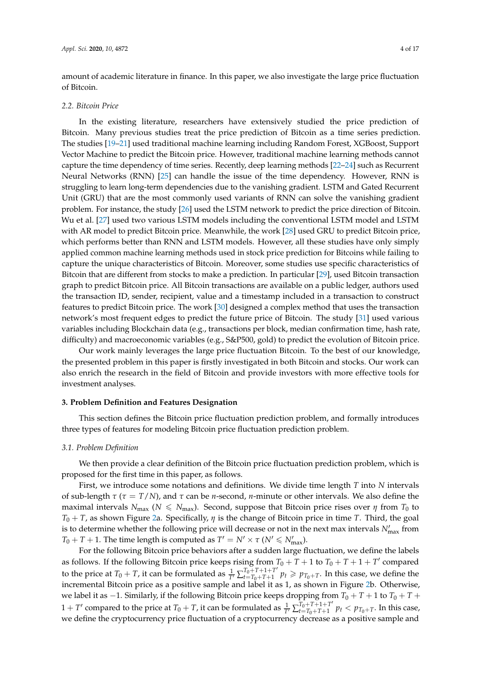amount of academic literature in finance. In this paper, we also investigate the large price fluctuation of Bitcoin.

## *2.2. Bitcoin Price*

In the existing literature, researchers have extensively studied the price prediction of Bitcoin. Many previous studies treat the price prediction of Bitcoin as a time series prediction. The studies [\[19–](#page-15-5)[21\]](#page-15-6) used traditional machine learning including Random Forest, XGBoost, Support Vector Machine to predict the Bitcoin price. However, traditional machine learning methods cannot capture the time dependency of time series. Recently, deep learning methods [\[22](#page-15-7)[–24\]](#page-15-8) such as Recurrent Neural Networks (RNN) [\[25\]](#page-15-9) can handle the issue of the time dependency. However, RNN is struggling to learn long-term dependencies due to the vanishing gradient. LSTM and Gated Recurrent Unit (GRU) that are the most commonly used variants of RNN can solve the vanishing gradient problem. For instance, the study [\[26\]](#page-15-10) used the LSTM network to predict the price direction of Bitcoin. Wu et al. [\[27\]](#page-15-11) used two various LSTM models including the conventional LSTM model and LSTM with AR model to predict Bitcoin price. Meanwhile, the work [\[28\]](#page-15-12) used GRU to predict Bitcoin price, which performs better than RNN and LSTM models. However, all these studies have only simply applied common machine learning methods used in stock price prediction for Bitcoins while failing to capture the unique characteristics of Bitcoin. Moreover, some studies use specific characteristics of Bitcoin that are different from stocks to make a prediction. In particular [\[29\]](#page-15-13), used Bitcoin transaction graph to predict Bitcoin price. All Bitcoin transactions are available on a public ledger, authors used the transaction ID, sender, recipient, value and a timestamp included in a transaction to construct features to predict Bitcoin price. The work [\[30\]](#page-15-14) designed a complex method that uses the transaction network's most frequent edges to predict the future price of Bitcoin. The study [\[31\]](#page-15-15) used various variables including Blockchain data (e.g., transactions per block, median confirmation time, hash rate, difficulty) and macroeconomic variables (e.g., S&P500, gold) to predict the evolution of Bitcoin price.

Our work mainly leverages the large price fluctuation Bitcoin. To the best of our knowledge, the presented problem in this paper is firstly investigated in both Bitcoin and stocks. Our work can also enrich the research in the field of Bitcoin and provide investors with more effective tools for investment analyses.

## <span id="page-3-0"></span>**3. Problem Definition and Features Designation**

This section defines the Bitcoin price fluctuation prediction problem, and formally introduces three types of features for modeling Bitcoin price fluctuation prediction problem.

## *3.1. Problem Definition*

We then provide a clear definition of the Bitcoin price fluctuation prediction problem, which is proposed for the first time in this paper, as follows.

First, we introduce some notations and definitions. We divide time length *T* into *N* intervals of sub-length *τ* (*τ* = *T*/*N*), and *τ* can be *n*-second, *n*-minute or other intervals. We also define the maximal intervals  $N_{\text{max}}$  ( $N \le N_{\text{max}}$ ). Second, suppose that Bitcoin price rises over *η* from  $T_0$  to *T*<sup>0</sup> + *T*, as shown Figure [2a](#page-4-1). Specifically, *η* is the change of Bitcoin price in time *T*. Third, the goal is to determine whether the following price will decrease or not in the next max intervals  $N'_{\text{max}}$  from  $T_0 + T + 1$ . The time length is computed as  $T' = N' \times \tau$  ( $N' \le N'_{\text{max}}$ ).

For the following Bitcoin price behaviors after a sudden large fluctuation, we define the labels as follows. If the following Bitcoin price keeps rising from  $T_0 + T + 1$  to  $T_0 + T + T$  compared to the price at  $T_0 + T$ , it can be formulated as  $\frac{1}{T'} \sum_{t=T_0+T+1}^{T_0+T+1+T'}$  $T_{0+}T_{t+}T_{0+}T_{t+}T'$   $p_t \geqslant p_{T_0+}T$ . In this case, we define the incremental Bitcoin price as a positive sample and label it as 1, as shown in Figure [2b](#page-4-1). Otherwise, we label it as −1. Similarly, if the following Bitcoin price keeps dropping from  $T_0 + T + 1$  to  $T_0 + T +$  $1 + T'$  compared to the price at  $T_0 + T$ , it can be formulated as  $\frac{1}{T'}\sum_{t=T_0+T+1}^{T_0+T+1+T'}$  $p_{t=T_0+T+1}$   $p_t < p_{T_0+T}$ . In this case, we define the cryptocurrency price fluctuation of a cryptocurrency decrease as a positive sample and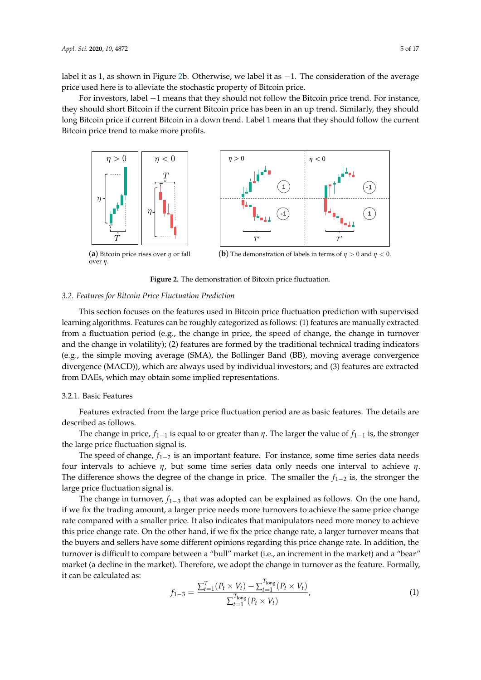label it as 1, as shown in Figure [2b](#page-4-1). Otherwise, we label it as −1. The consideration of the average price used here is to alleviate the stochastic property of Bitcoin price.

For investors, label −1 means that they should not follow the Bitcoin price trend. For instance, they should short Bitcoin if the current Bitcoin price has been in an up trend. Similarly, they should long Bitcoin price if current Bitcoin in a down trend. Label 1 means that they should follow the current Bitcoin price trend to make more profits.

<span id="page-4-1"></span>

**Figure 2.** The demonstration of Bitcoin price fluctuation.

#### <span id="page-4-0"></span>*3.2. Features for Bitcoin Price Fluctuation Prediction*

This section focuses on the features used in Bitcoin price fluctuation prediction with supervised learning algorithms. Features can be roughly categorized as follows: (1) features are manually extracted from a fluctuation period (e.g., the change in price, the speed of change, the change in turnover and the change in volatility); (2) features are formed by the traditional technical trading indicators (e.g., the simple moving average (SMA), the Bollinger Band (BB), moving average convergence divergence (MACD)), which are always used by individual investors; and (3) features are extracted from DAEs, which may obtain some implied representations.

## 3.2.1. Basic Features

Features extracted from the large price fluctuation period are as basic features. The details are described as follows.

The change in price,  $f_{1-1}$  is equal to or greater than  $\eta$ . The larger the value of  $f_{1-1}$  is, the stronger the large price fluctuation signal is.

The speed of change, *f*<sub>1−2</sub> is an important feature. For instance, some time series data needs four intervals to achieve *η*, but some time series data only needs one interval to achieve *η*. The difference shows the degree of the change in price. The smaller the *f*1−<sup>2</sup> is, the stronger the large price fluctuation signal is.

The change in turnover, *f*<sub>1−3</sub> that was adopted can be explained as follows. On the one hand, if we fix the trading amount, a larger price needs more turnovers to achieve the same price change rate compared with a smaller price. It also indicates that manipulators need more money to achieve this price change rate. On the other hand, if we fix the price change rate, a larger turnover means that the buyers and sellers have some different opinions regarding this price change rate. In addition, the turnover is difficult to compare between a "bull" market (i.e., an increment in the market) and a "bear" market (a decline in the market). Therefore, we adopt the change in turnover as the feature. Formally, it can be calculated as:

$$
f_{1-3} = \frac{\sum_{t=1}^{T} (P_t \times V_t) - \sum_{t=1}^{T_{\text{long}}}(P_t \times V_t)}{\sum_{t=1}^{T_{\text{long}}}(P_t \times V_t)},
$$
(1)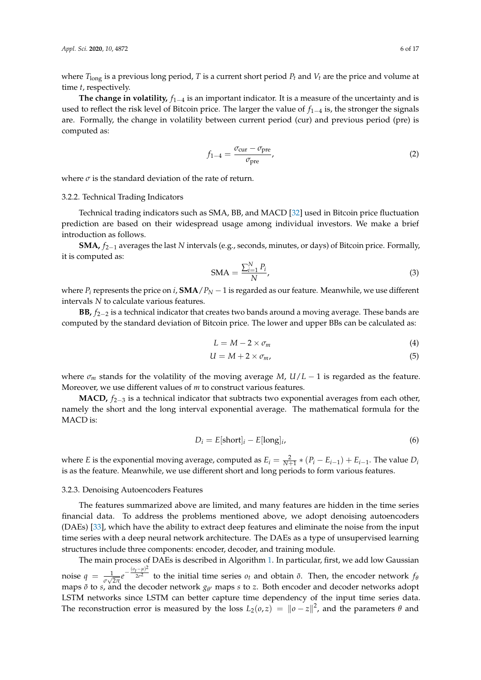where  $T_{\text{long}}$  is a previous long period, *T* is a current short period  $P_t$  and  $V_t$  are the price and volume at time *t*, respectively.

**The change in volatility,** *f*1−<sup>4</sup> is an important indicator. It is a measure of the uncertainty and is used to reflect the risk level of Bitcoin price. The larger the value of *f*1−<sup>4</sup> is, the stronger the signals are. Formally, the change in volatility between current period (cur) and previous period (pre) is computed as:

$$
f_{1-4} = \frac{\sigma_{\text{cur}} - \sigma_{\text{pre}}}{\sigma_{\text{pre}}},\tag{2}
$$

where  $\sigma$  is the standard deviation of the rate of return.

### 3.2.2. Technical Trading Indicators

Technical trading indicators such as SMA, BB, and MACD [\[32\]](#page-15-16) used in Bitcoin price fluctuation prediction are based on their widespread usage among individual investors. We make a brief introduction as follows.

**SMA,** *f*2−<sup>1</sup> averages the last *N* intervals (e.g., seconds, minutes, or days) of Bitcoin price. Formally, it is computed as:

$$
\text{SMA} = \frac{\sum_{i=1}^{N} P_i}{N},\tag{3}
$$

where  $P_i$  represents the price on *i*,  $\text{SMA}/P_N - 1$  is regarded as our feature. Meanwhile, we use different intervals *N* to calculate various features.

**BB,** *f*2−<sup>2</sup> is a technical indicator that creates two bands around a moving average. These bands are computed by the standard deviation of Bitcoin price. The lower and upper BBs can be calculated as:

$$
L = M - 2 \times \sigma_m \tag{4}
$$

$$
U = M + 2 \times \sigma_m,\tag{5}
$$

where  $\sigma_m$  stands for the volatility of the moving average *M*,  $U/L - 1$  is regarded as the feature. Moreover, we use different values of *m* to construct various features.

**MACD,**  $f_{2-3}$  is a technical indicator that subtracts two exponential averages from each other, namely the short and the long interval exponential average. The mathematical formula for the MACD is:

$$
D_i = E[\text{short}]_i - E[\text{long}]_i,\tag{6}
$$

where *E* is the exponential moving average, computed as  $E_i = \frac{2}{N+1} * (P_i - E_{i-1}) + E_{i-1}$ . The value  $D_i$ is as the feature. Meanwhile, we use different short and long periods to form various features.

## 3.2.3. Denoising Autoencoders Features

The features summarized above are limited, and many features are hidden in the time series financial data. To address the problems mentioned above, we adopt denoising autoencoders (DAEs) [\[33\]](#page-15-17), which have the ability to extract deep features and eliminate the noise from the input time series with a deep neural network architecture. The DAEs as a type of unsupervised learning structures include three components: encoder, decoder, and training module.

The main process of DAEs is described in Algorithm [1.](#page-6-1) In particular, first, we add low Gaussian noise  $q = \frac{1}{\sigma \sqrt{2\pi}} e^{-\frac{(o_t - \mu)^2}{2\sigma^2}}$  $2\sigma^2$  to the initial time series  $o_t$  and obtain  $\tilde{o}$ . Then, the encoder network  $f_{\theta}$ maps  $\tilde{o}$  to *s*, and the decoder network  $g_{\theta'}$  maps *s* to *z*. Both encoder and decoder networks adopt LSTM networks since LSTM can better capture time dependency of the input time series data. The reconstruction error is measured by the loss  $L_2(o, z) = ||o - z||^2$ , and the parameters  $\theta$  and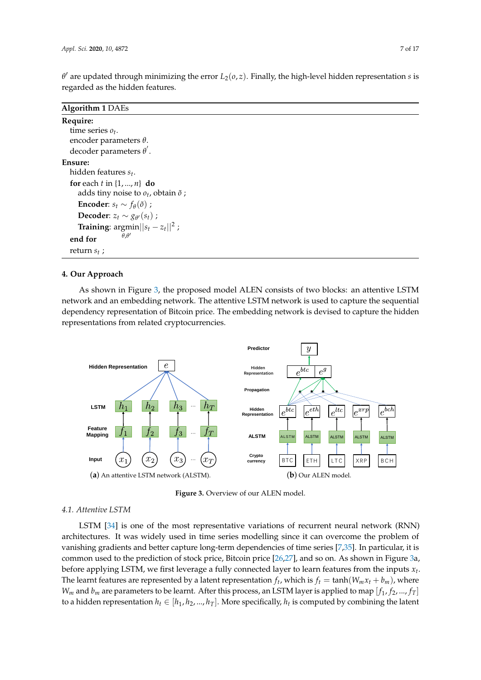$\theta'$  are updated through minimizing the error  $L_2(o, z)$ . Finally, the high-level hidden representation *s* is regarded as the hidden features.

<span id="page-6-1"></span>

| <b>Algorithm 1 DAEs</b>                          |
|--------------------------------------------------|
| Require:                                         |
| time series $o_t$ .                              |
| encoder parameters $\theta$ .                    |
| decoder parameters $\theta'$ .                   |
| <b>Ensure:</b>                                   |
| hidden features $s_t$ .                          |
| for each t in $\{1, , n\}$ do                    |
| adds tiny noise to $o_t$ , obtain $\tilde{o}$ ;  |
| <b>Encoder:</b> $s_t \sim f_\theta(\tilde{o})$ ; |
| <b>Decoder:</b> $z_t \sim g_{\theta'}(s_t)$ ;    |
| <b>Training:</b> argmin $  s_t - z_t  ^2$ ;      |
| $\theta$ , $\theta'$<br>end for                  |
| return $s_t$ ;                                   |

## <span id="page-6-0"></span>**4. Our Approach**

As shown in Figure [3,](#page-6-2) the proposed model ALEN consists of two blocks: an attentive LSTM network and an embedding network. The attentive LSTM network is used to capture the sequential dependency representation of Bitcoin price. The embedding network is devised to capture the hidden representations from related cryptocurrencies.

<span id="page-6-2"></span>



### *4.1. Attentive LSTM*

LSTM [\[34\]](#page-15-18) is one of the most representative variations of recurrent neural network (RNN) architectures. It was widely used in time series modelling since it can overcome the problem of vanishing gradients and better capture long-term dependencies of time series [\[7](#page-14-6)[,35\]](#page-15-19). In particular, it is common used to the prediction of stock price, Bitcoin price [\[26](#page-15-10)[,27\]](#page-15-11), and so on. As shown in Figure [3a](#page-6-2), before applying LSTM, we first leverage a fully connected layer to learn features from the inputs *x<sup>t</sup>* . The learnt features are represented by a latent representation  $f_t$ , which is  $f_t = \tanh(W_m x_t + b_m)$ , where  $W_m$  and  $b_m$  are parameters to be learnt. After this process, an LSTM layer is applied to map  $[f_1, f_2, ..., f_T]$ to a hidden representation  $h_t \in [h_1, h_2, ..., h_T]$ . More specifically,  $h_t$  is computed by combining the latent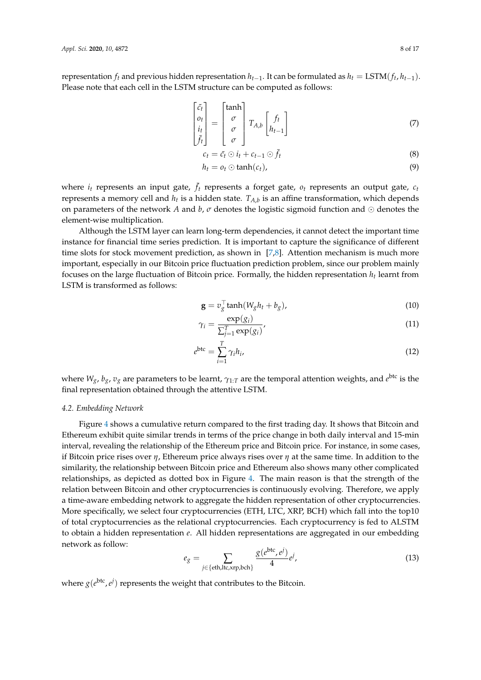representation  $f_t$  and previous hidden representation  $h_{t-1}$ . It can be formulated as  $h_t = \text{LSTM}(f_t, h_{t-1})$ . Please note that each cell in the LSTM structure can be computed as follows:

$$
\begin{bmatrix} \tilde{c}_t \\ o_t \\ i_t \\ \bar{f}_t \end{bmatrix} = \begin{bmatrix} \tanh \\ \sigma \\ \sigma \\ \sigma \end{bmatrix} T_{A,b} \begin{bmatrix} f_t \\ h_{t-1} \end{bmatrix}
$$
 (7)

$$
c_t = \tilde{c}_t \odot i_t + c_{t-1} \odot \bar{f}_t \tag{8}
$$

$$
h_t = o_t \odot \tanh(c_t), \tag{9}
$$

where  $i_t$  represents an input gate,  $\bar{f}_t$  represents a forget gate,  $o_t$  represents an output gate,  $c_t$ represents a memory cell and  $h_t$  is a hidden state.  $T_{A,b}$  is an affine transformation, which depends on parameters of the network A and  $b$ ,  $\sigma$  denotes the logistic sigmoid function and  $\odot$  denotes the element-wise multiplication.

Although the LSTM layer can learn long-term dependencies, it cannot detect the important time instance for financial time series prediction. It is important to capture the significance of different time slots for stock movement prediction, as shown in [\[7](#page-14-6)[,8\]](#page-14-7). Attention mechanism is much more important, especially in our Bitcoin price fluctuation prediction problem, since our problem mainly focuses on the large fluctuation of Bitcoin price. Formally, the hidden representation *h<sup>t</sup>* learnt from LSTM is transformed as follows:

$$
\mathbf{g} = v_g^{\top} \tanh(W_g h_t + b_g), \tag{10}
$$

$$
\gamma_i = \frac{\exp(g_i)}{\sum_{j=1}^T \exp(g_i)},\tag{11}
$$

$$
e^{\text{btc}} = \sum_{i=1}^{T} \gamma_i h_i,\tag{12}
$$

where  $W_g$ ,  $b_g$ ,  $v_g$  are parameters to be learnt,  $\gamma_{1:T}$  are the temporal attention weights, and  $e^{btc}$  is the final representation obtained through the attentive LSTM.

#### *4.2. Embedding Network*

Figure [4](#page-8-1) shows a cumulative return compared to the first trading day. It shows that Bitcoin and Ethereum exhibit quite similar trends in terms of the price change in both daily interval and 15-min interval, revealing the relationship of the Ethereum price and Bitcoin price. For instance, in some cases, if Bitcoin price rises over *η*, Ethereum price always rises over *η* at the same time. In addition to the similarity, the relationship between Bitcoin price and Ethereum also shows many other complicated relationships, as depicted as dotted box in Figure [4.](#page-8-1) The main reason is that the strength of the relation between Bitcoin and other cryptocurrencies is continuously evolving. Therefore, we apply a time-aware embedding network to aggregate the hidden representation of other cryptocurrencies. More specifically, we select four cryptocurrencies (ETH, LTC, XRP, BCH) which fall into the top10 of total cryptocurrencies as the relational cryptocurrencies. Each cryptocurrency is fed to ALSTM to obtain a hidden representation *e*. All hidden representations are aggregated in our embedding network as follow:

$$
e_g = \sum_{j \in \{\text{eth}, \text{ltc}, \text{xrp}, \text{bch}\}} \frac{g(e^{\text{btc}}, e^j)}{4} e^j,
$$
(13)

where  $g(e^{btc}, e^j)$  represents the weight that contributes to the Bitcoin.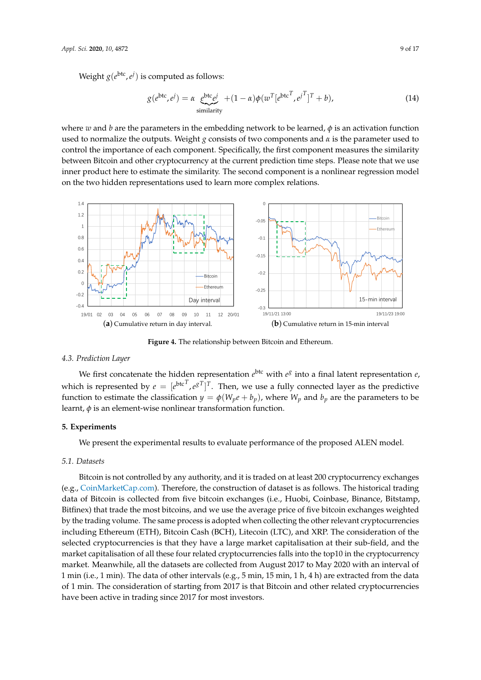Weight  $g(e^{btc}, e^j)$  is computed as follows:

$$
g(e^{\text{btc}}, e^j) = \alpha \underbrace{e^{\text{btc}} e^j}_{\text{similarity}} + (1 - \alpha) \phi(w^T [e^{\text{btc}^T}, e^{j^T}]^T + b),
$$
\n(14)

where *w* and *b* are the parameters in the embedding network to be learned,  $\phi$  is an activation function used to normalize the outputs. Weight *g* consists of two components and  $\alpha$  is the parameter used to control the importance of each component. Specifically, the first component measures the similarity between Bitcoin and other cryptocurrency at the current prediction time steps. Please note that we use inner product here to estimate the similarity. The second component is a nonlinear regression model on the two hidden representations used to learn more complex relations.

<span id="page-8-1"></span>

**Figure 4.** The relationship between Bitcoin and Ethereum.

## *4.3. Prediction Layer*

We first concatenate the hidden representation  $e^{btc}$  with  $e^g$  into a final latent representation  $e$ , which is represented by  $e = [e^{b \text{tc}^T}, e^{gT}]^T$ . Then, we use a fully connected layer as the predictive function to estimate the classification  $y = \phi(W_p e + b_p)$ , where  $W_p$  and  $b_p$  are the parameters to be learnt, *φ* is an element-wise nonlinear transformation function.

## <span id="page-8-0"></span>**5. Experiments**

We present the experimental results to evaluate performance of the proposed ALEN model.

#### *5.1. Datasets*

Bitcoin is not controlled by any authority, and it is traded on at least 200 cryptocurrency exchanges (e.g., [CoinMarketCap.com\)](CoinMarketCap.com). Therefore, the construction of dataset is as follows. The historical trading data of Bitcoin is collected from five bitcoin exchanges (i.e., Huobi, Coinbase, Binance, Bitstamp, Bitfinex) that trade the most bitcoins, and we use the average price of five bitcoin exchanges weighted by the trading volume. The same process is adopted when collecting the other relevant cryptocurrencies including Ethereum (ETH), Bitcoin Cash (BCH), Litecoin (LTC), and XRP. The consideration of the selected cryptocurrencies is that they have a large market capitalisation at their sub-field, and the market capitalisation of all these four related cryptocurrencies falls into the top10 in the cryptocurrency market. Meanwhile, all the datasets are collected from August 2017 to May 2020 with an interval of 1 min (i.e., 1 min). The data of other intervals (e.g., 5 min, 15 min, 1 h, 4 h) are extracted from the data of 1 min. The consideration of starting from 2017 is that Bitcoin and other related cryptocurrencies have been active in trading since 2017 for most investors.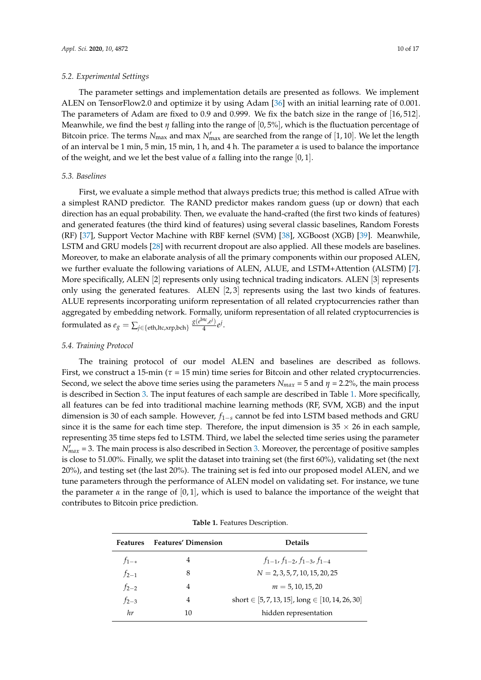#### *5.2. Experimental Settings*

The parameter settings and implementation details are presented as follows. We implement ALEN on TensorFlow2.0 and optimize it by using Adam [\[36\]](#page-15-20) with an initial learning rate of 0.001. The parameters of Adam are fixed to 0.9 and 0.999. We fix the batch size in the range of [16, 512]. Meanwhile, we find the best *η* falling into the range of [0, 5%], which is the fluctuation percentage of Bitcoin price. The terms  $N_{\text{max}}$  and max  $N'_{\text{max}}$  are searched from the range of [1, 10]. We let the length of an interval be 1 min, 5 min, 15 min, 1 h, and 4 h. The parameter  $\alpha$  is used to balance the importance of the weight, and we let the best value of *α* falling into the range [0, 1].

## *5.3. Baselines*

First, we evaluate a simple method that always predicts true; this method is called ATrue with a simplest RAND predictor. The RAND predictor makes random guess (up or down) that each direction has an equal probability. Then, we evaluate the hand-crafted (the first two kinds of features) and generated features (the third kind of features) using several classic baselines, Random Forests (RF) [\[37\]](#page-16-0), Support Vector Machine with RBF kernel (SVM) [\[38\]](#page-16-1), XGBoost (XGB) [\[39\]](#page-16-2). Meanwhile, LSTM and GRU models [\[28\]](#page-15-12) with recurrent dropout are also applied. All these models are baselines. Moreover, to make an elaborate analysis of all the primary components within our proposed ALEN, we further evaluate the following variations of ALEN, ALUE, and LSTM+Attention (ALSTM) [\[7\]](#page-14-6). More specifically, ALEN [2] represents only using technical trading indicators. ALEN [3] represents only using the generated features. ALEN [2, 3] represents using the last two kinds of features. ALUE represents incorporating uniform representation of all related cryptocurrencies rather than aggregated by embedding network. Formally, uniform representation of all related cryptocurrencies is formulated as  $e_g = \sum_{j \in \{ \text{eth}, \text{ltc}, \text{xrp}, \text{bch} \}} \frac{g(e^{\text{btc}}, e^j)}{4}$  $\frac{a^{\prime}$ , $e^{\prime}$ )  $e^{\prime}$ .

## *5.4. Training Protocol*

The training protocol of our model ALEN and baselines are described as follows. First, we construct a 15-min ( $\tau$  = 15 min) time series for Bitcoin and other related cryptocurrencies. Second, we select the above time series using the parameters  $N_{max} = 5$  and  $\eta = 2.2\%$ , the main process is described in Section [3.](#page-3-0) The input features of each sample are described in Table [1.](#page-9-0) More specifically, all features can be fed into traditional machine learning methods (RF, SVM, XGB) and the input dimension is 30 of each sample. However, *f*1−*<sup>s</sup>* cannot be fed into LSTM based methods and GRU since it is the same for each time step. Therefore, the input dimension is  $35 \times 26$  in each sample, representing 35 time steps fed to LSTM. Third, we label the selected time series using the parameter  $N'_{max}$  = [3.](#page-3-0) The main process is also described in Section 3. Moreover, the percentage of positive samples is close to 51.00%. Finally, we split the dataset into training set (the first 60%), validating set (the next 20%), and testing set (the last 20%). The training set is fed into our proposed model ALEN, and we tune parameters through the performance of ALEN model on validating set. For instance, we tune the parameter  $\alpha$  in the range of [0,1], which is used to balance the importance of the weight that contributes to Bitcoin price prediction.

| Table 1. Features Description. |
|--------------------------------|
|--------------------------------|

<span id="page-9-0"></span>

| <b>Features</b> | <b>Features' Dimension</b> | <b>Details</b>                                          |  |
|-----------------|----------------------------|---------------------------------------------------------|--|
| $f_{1-*}$       | 4                          | $f_{1-1}, f_{1-2}, f_{1-3}, f_{1-4}$                    |  |
| $f_{2-1}$       | 8                          | $N = 2, 3, 5, 7, 10, 15, 20, 25$                        |  |
| $f_{2-2}$       | 4                          | $m = 5.10.15.20$                                        |  |
| $f_{2-3}$       | 4                          | short $\in$ [5, 7, 13, 15], long $\in$ [10, 14, 26, 30] |  |
| hr              | 10                         | hidden representation                                   |  |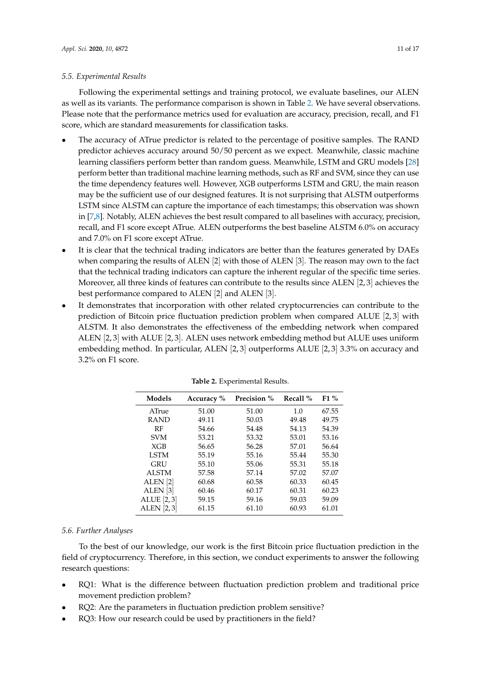## *5.5. Experimental Results*

Following the experimental settings and training protocol, we evaluate baselines, our ALEN as well as its variants. The performance comparison is shown in Table [2.](#page-10-0) We have several observations. Please note that the performance metrics used for evaluation are accuracy, precision, recall, and F1 score, which are standard measurements for classification tasks.

- The accuracy of ATrue predictor is related to the percentage of positive samples. The RAND predictor achieves accuracy around 50/50 percent as we expect. Meanwhile, classic machine learning classifiers perform better than random guess. Meanwhile, LSTM and GRU models [\[28\]](#page-15-12) perform better than traditional machine learning methods, such as RF and SVM, since they can use the time dependency features well. However, XGB outperforms LSTM and GRU, the main reason may be the sufficient use of our designed features. It is not surprising that ALSTM outperforms LSTM since ALSTM can capture the importance of each timestamps; this observation was shown in [\[7](#page-14-6)[,8\]](#page-14-7). Notably, ALEN achieves the best result compared to all baselines with accuracy, precision, recall, and F1 score except ATrue. ALEN outperforms the best baseline ALSTM 6.0% on accuracy and 7.0% on F1 score except ATrue.
- It is clear that the technical trading indicators are better than the features generated by DAEs when comparing the results of ALEN [2] with those of ALEN [3]. The reason may own to the fact that the technical trading indicators can capture the inherent regular of the specific time series. Moreover, all three kinds of features can contribute to the results since ALEN [2, 3] achieves the best performance compared to ALEN [2] and ALEN [3].
- <span id="page-10-0"></span>It demonstrates that incorporation with other related cryptocurrencies can contribute to the prediction of Bitcoin price fluctuation prediction problem when compared ALUE [2, 3] with ALSTM. It also demonstrates the effectiveness of the embedding network when compared ALEN [2, 3] with ALUE [2, 3]. ALEN uses network embedding method but ALUE uses uniform embedding method. In particular, ALEN [2, 3] outperforms ALUE [2, 3] 3.3% on accuracy and 3.2% on F1 score.

| Models              | Accuracy $%$ | <b>Precision</b> % | Recall $%$ | $F1\%$ |
|---------------------|--------------|--------------------|------------|--------|
| ATrue               | 51.00        | 51.00              | 1.0        | 67.55  |
| <b>RAND</b>         | 49.11        | 50.03              | 49.48      | 49.75  |
| RF                  | 54.66        | 54.48              | 54.13      | 54.39  |
| <b>SVM</b>          | 53.21        | 53.32              | 53.01      | 53.16  |
| XGB                 | 56.65        | 56.28              | 57.01      | 56.64  |
| <b>LSTM</b>         | 55.19        | 55.16              | 55.44      | 55.30  |
| GRU                 | 55.10        | 55.06              | 55.31      | 55.18  |
| <b>ALSTM</b>        | 57.58        | 57.14              | 57.02      | 57.07  |
| ALEN <sup>[2]</sup> | 60.68        | 60.58              | 60.33      | 60.45  |
| ALEN <sup>[3]</sup> | 60.46        | 60.17              | 60.31      | 60.23  |
| ALUE [2,3]          | 59.15        | 59.16              | 59.03      | 59.09  |
| ALEN [2,3]          | 61.15        | 61.10              | 60.93      | 61.01  |

**Table 2.** Experimental Results.

## *5.6. Further Analyses*

To the best of our knowledge, our work is the first Bitcoin price fluctuation prediction in the field of cryptocurrency. Therefore, in this section, we conduct experiments to answer the following research questions:

- RQ1: What is the difference between fluctuation prediction problem and traditional price movement prediction problem?
- RQ2: Are the parameters in fluctuation prediction problem sensitive?
- RQ3: How our research could be used by practitioners in the field?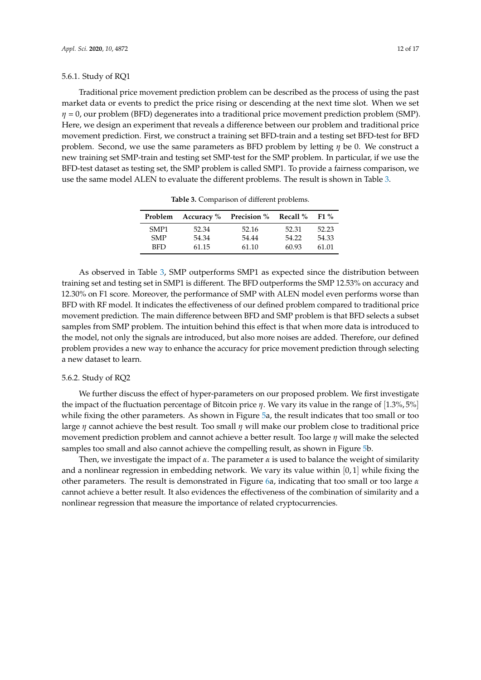## 5.6.1. Study of RQ1

Traditional price movement prediction problem can be described as the process of using the past market data or events to predict the price rising or descending at the next time slot. When we set *η* = 0, our problem (BFD) degenerates into a traditional price movement prediction problem (SMP). Here, we design an experiment that reveals a difference between our problem and traditional price movement prediction. First, we construct a training set BFD-train and a testing set BFD-test for BFD problem. Second, we use the same parameters as BFD problem by letting *η* be 0. We construct a new training set SMP-train and testing set SMP-test for the SMP problem. In particular, if we use the BFD-test dataset as testing set, the SMP problem is called SMP1. To provide a fairness comparison, we use the same model ALEN to evaluate the different problems. The result is shown in Table [3.](#page-11-0)

| Problem          |       | <b>Accuracy</b> % Precision % | Recall % | $F1\%$ |
|------------------|-------|-------------------------------|----------|--------|
| SMP <sub>1</sub> | 52.34 | 52.16                         | 52.31    | 52.23  |
| <b>SMP</b>       | 54.34 | 54.44                         | 54.22    | 54.33  |
| BFD.             | 61.15 | 61.10                         | 60.93    | 61.01  |
|                  |       |                               |          |        |

**Table 3.** Comparison of different problems.

<span id="page-11-0"></span>As observed in Table [3,](#page-11-0) SMP outperforms SMP1 as expected since the distribution between training set and testing set in SMP1 is different. The BFD outperforms the SMP 12.53% on accuracy and 12.30% on F1 score. Moreover, the performance of SMP with ALEN model even performs worse than BFD with RF model. It indicates the effectiveness of our defined problem compared to traditional price movement prediction. The main difference between BFD and SMP problem is that BFD selects a subset samples from SMP problem. The intuition behind this effect is that when more data is introduced to the model, not only the signals are introduced, but also more noises are added. Therefore, our defined problem provides a new way to enhance the accuracy for price movement prediction through selecting a new dataset to learn.

## 5.6.2. Study of RQ2

We further discuss the effect of hyper-parameters on our proposed problem. We first investigate the impact of the fluctuation percentage of Bitcoin price *η*. We vary its value in the range of [1.3%, 5%] while fixing the other parameters. As shown in Figure [5a](#page-12-0), the result indicates that too small or too large *η* cannot achieve the best result. Too small *η* will make our problem close to traditional price movement prediction problem and cannot achieve a better result. Too large *η* will make the selected samples too small and also cannot achieve the compelling result, as shown in Figure [5b](#page-12-0).

Then, we investigate the impact of  $\alpha$ . The parameter  $\alpha$  is used to balance the weight of similarity and a nonlinear regression in embedding network. We vary its value within  $[0,1]$  while fixing the other parameters. The result is demonstrated in Figure [6a](#page-12-1), indicating that too small or too large *α* cannot achieve a better result. It also evidences the effectiveness of the combination of similarity and a nonlinear regression that measure the importance of related cryptocurrencies.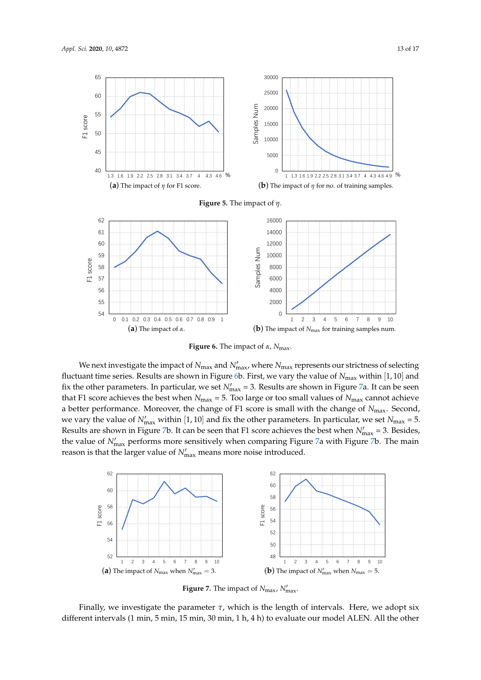<span id="page-12-0"></span>

(**b**) The impact of *N*max for training samples num.

2 3 4 5 6 7 8 9 10

**Figure 6.** The impact of *α*, *N*max.

<span id="page-12-1"></span> 0.1 0.2 0.3 0.4 0.5 0.6 0.7 0.8 0.9 1 (**a**) The impact of *α*.

We next investigate the impact of  $N_{\text{max}}$  and  $N'_{\text{max}}$ , where  $N_{\text{max}}$  represents our strictness of selecting fluctuant time series. Results are shown in Figure [6b](#page-12-1). First, we vary the value of *N*max within [1, 10] and fix the other parameters. In particular, we set  $N'_{\text{max}} = 3$ . Results are shown in Figure [7a](#page-12-2). It can be seen that F1 score achieves the best when  $N_{\text{max}} = 5$ . Too large or too small values of  $N_{\text{max}}$  cannot achieve a better performance. Moreover, the change of F1 score is small with the change of *N*max. Second, we vary the value of  $N'_{\text{max}}$  within [1, 10] and fix the other parameters. In particular, we set  $N_{\text{max}} = 5$ . Results are shown in Figure [7b](#page-12-2). It can be seen that F1 score achieves the best when  $N'_{\text{max}} = 3$ . Besides, the value of  $N'_{\text{max}}$  performs more sensitively when comparing Figure [7a](#page-12-2) with Figure [7b](#page-12-2). The main reason is that the larger value of  $N'_{\text{max}}$  means more noise introduced.

<span id="page-12-2"></span>

**Figure 7.** The impact of  $N_{\text{max}}$ ,  $N'_{\text{max}}$ .

Finally, we investigate the parameter  $\tau$ , which is the length of intervals. Here, we adopt six different intervals (1 min, 5 min, 15 min, 30 min, 1 h, 4 h) to evaluate our model ALEN. All the other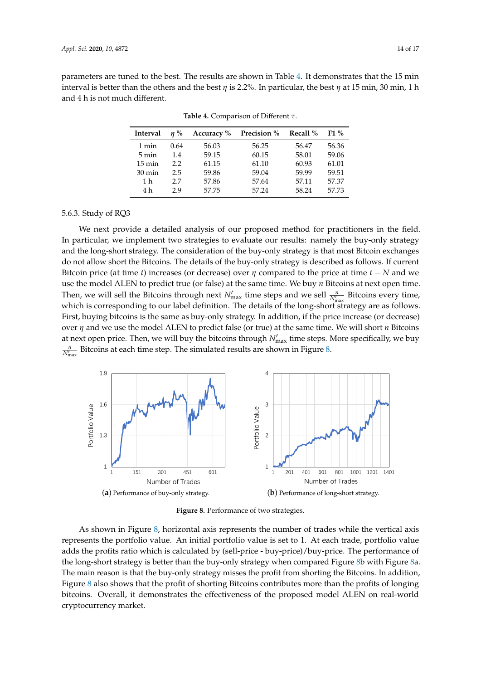<span id="page-13-0"></span>parameters are tuned to the best. The results are shown in Table [4.](#page-13-0) It demonstrates that the 15 min interval is better than the others and the best *η* is 2.2%. In particular, the best *η* at 15 min, 30 min, 1 h and 4 h is not much different.

| Interval         | $n\%$ | Accuracy $\%$ | <b>Precision</b> % | Recall $\%$ | $F1\%$ |
|------------------|-------|---------------|--------------------|-------------|--------|
| 1 min            | 0.64  | 56.03         | 56.25              | 56.47       | 56.36  |
| $5 \text{ min}$  | 1.4   | 59.15         | 60.15              | 58.01       | 59.06  |
| $15 \text{ min}$ | 22    | 61.15         | 61.10              | 60.93       | 61.01  |
| $30 \text{ min}$ | 2.5   | 59.86         | 59.04              | 59.99       | 59.51  |
| 1 h              | 27    | 57.86         | 57.64              | 57.11       | 57.37  |
| 4 h              | 29    | 57.75         | 57.24              | 58.24       | 57.73  |

**Table 4.** Comparison of Different *τ*.

## 5.6.3. Study of RQ3

We next provide a detailed analysis of our proposed method for practitioners in the field. In particular, we implement two strategies to evaluate our results: namely the buy-only strategy and the long-short strategy. The consideration of the buy-only strategy is that most Bitcoin exchanges do not allow short the Bitcoins. The details of the buy-only strategy is described as follows. If current Bitcoin price (at time *t*) increases (or decrease) over  $\eta$  compared to the price at time  $t - N$  and we use the model ALEN to predict true (or false) at the same time. We buy *n* Bitcoins at next open time. Then, we will sell the Bitcoins through next  $N'_{\text{max}}$  time steps and we sell  $\frac{n}{N'_{\text{max}}}$  Bitcoins every time, which is corresponding to our label definition. The details of the long-short strategy are as follows. First, buying bitcoins is the same as buy-only strategy. In addition, if the price increase (or decrease) over *η* and we use the model ALEN to predict false (or true) at the same time. We will short *n* Bitcoins at next open price. Then, we will buy the bitcoins through  $N'_{\text{max}}$  time steps. More specifically, we buy  $\frac{n}{N'_{\max}}$  Bitcoins at each time step. The simulated results are shown in Figure [8.](#page-13-1)

<span id="page-13-1"></span>

**Figure 8.** Performance of two strategies.

As shown in Figure [8,](#page-13-1) horizontal axis represents the number of trades while the vertical axis represents the portfolio value. An initial portfolio value is set to 1. At each trade, portfolio value adds the profits ratio which is calculated by (sell-price - buy-price)/buy-price. The performance of the long-short strategy is better than the buy-only strategy when compared Figure [8b](#page-13-1) with Figure [8a](#page-13-1). The main reason is that the buy-only strategy misses the profit from shorting the Bitcoins. In addition, Figure [8](#page-13-1) also shows that the profit of shorting Bitcoins contributes more than the profits of longing bitcoins. Overall, it demonstrates the effectiveness of the proposed model ALEN on real-world cryptocurrency market.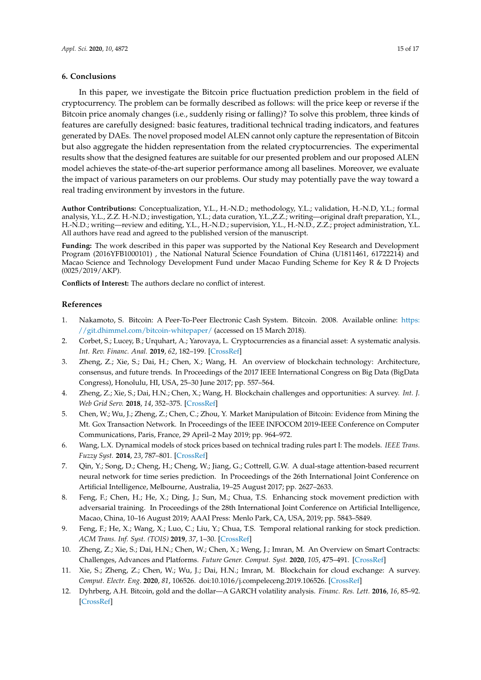## <span id="page-14-9"></span>**6. Conclusions**

In this paper, we investigate the Bitcoin price fluctuation prediction problem in the field of cryptocurrency. The problem can be formally described as follows: will the price keep or reverse if the Bitcoin price anomaly changes (i.e., suddenly rising or falling)? To solve this problem, three kinds of features are carefully designed: basic features, traditional technical trading indicators, and features generated by DAEs. The novel proposed model ALEN cannot only capture the representation of Bitcoin but also aggregate the hidden representation from the related cryptocurrencies. The experimental results show that the designed features are suitable for our presented problem and our proposed ALEN model achieves the state-of-the-art superior performance among all baselines. Moreover, we evaluate the impact of various parameters on our problems. Our study may potentially pave the way toward a real trading environment by investors in the future.

**Author Contributions:** Conceptualization, Y.L., H.-N.D.; methodology, Y.L.; validation, H.-N.D, Y.L.; formal analysis, Y.L., Z.Z. H.-N.D.; investigation, Y.L.; data curation, Y.L.,Z.Z.; writing—original draft preparation, Y.L., H.-N.D.; writing—review and editing, Y.L., H.-N.D.; supervision, Y.L., H.-N.D., Z.Z.; project administration, Y.L. All authors have read and agreed to the published version of the manuscript.

**Funding:** The work described in this paper was supported by the National Key Research and Development Program (2016YFB1000101) , the National Natural Science Foundation of China (U1811461, 61722214) and Macao Science and Technology Development Fund under Macao Funding Scheme for Key R & D Projects (0025/2019/AKP).

**Conflicts of Interest:** The authors declare no conflict of interest.

## **References**

- <span id="page-14-0"></span>1. Nakamoto, S. Bitcoin: A Peer-To-Peer Electronic Cash System. Bitcoin. 2008. Available online: [https:](https://git.dhimmel.com/bitcoin-whitepaper/) [//git.dhimmel.com/bitcoin-whitepaper/](https://git.dhimmel.com/bitcoin-whitepaper/) (accessed on 15 March 2018).
- <span id="page-14-1"></span>2. Corbet, S.; Lucey, B.; Urquhart, A.; Yarovaya, L. Cryptocurrencies as a financial asset: A systematic analysis. *Int. Rev. Financ. Anal.* **2019**, *62*, 182–199. [\[CrossRef\]](http://dx.doi.org/10.1016/j.irfa.2018.09.003)
- <span id="page-14-2"></span>3. Zheng, Z.; Xie, S.; Dai, H.; Chen, X.; Wang, H. An overview of blockchain technology: Architecture, consensus, and future trends. In Proceedings of the 2017 IEEE International Congress on Big Data (BigData Congress), Honolulu, HI, USA, 25–30 June 2017; pp. 557–564.
- <span id="page-14-3"></span>4. Zheng, Z.; Xie, S.; Dai, H.N.; Chen, X.; Wang, H. Blockchain challenges and opportunities: A survey. *Int. J. Web Grid Serv.* **2018**, *14*, 352–375. [\[CrossRef\]](http://dx.doi.org/10.1504/IJWGS.2018.095647)
- <span id="page-14-4"></span>5. Chen, W.; Wu, J.; Zheng, Z.; Chen, C.; Zhou, Y. Market Manipulation of Bitcoin: Evidence from Mining the Mt. Gox Transaction Network. In Proceedings of the IEEE INFOCOM 2019-IEEE Conference on Computer Communications, Paris, France, 29 April–2 May 2019; pp. 964–972.
- <span id="page-14-5"></span>6. Wang, L.X. Dynamical models of stock prices based on technical trading rules part I: The models. *IEEE Trans. Fuzzy Syst.* **2014**, *23*, 787–801. [\[CrossRef\]](http://dx.doi.org/10.1109/TFUZZ.2014.2327994)
- <span id="page-14-6"></span>7. Qin, Y.; Song, D.; Cheng, H.; Cheng, W.; Jiang, G.; Cottrell, G.W. A dual-stage attention-based recurrent neural network for time series prediction. In Proceedings of the 26th International Joint Conference on Artificial Intelligence, Melbourne, Australia, 19–25 August 2017; pp. 2627–2633.
- <span id="page-14-7"></span>8. Feng, F.; Chen, H.; He, X.; Ding, J.; Sun, M.; Chua, T.S. Enhancing stock movement prediction with adversarial training. In Proceedings of the 28th International Joint Conference on Artificial Intelligence, Macao, China, 10–16 August 2019; AAAI Press: Menlo Park, CA, USA, 2019; pp. 5843–5849.
- <span id="page-14-8"></span>9. Feng, F.; He, X.; Wang, X.; Luo, C.; Liu, Y.; Chua, T.S. Temporal relational ranking for stock prediction. *ACM Trans. Inf. Syst. (TOIS)* **2019**, *37*, 1–30. [\[CrossRef\]](http://dx.doi.org/10.1145/3309547)
- <span id="page-14-10"></span>10. Zheng, Z.; Xie, S.; Dai, H.N.; Chen, W.; Chen, X.; Weng, J.; Imran, M. An Overview on Smart Contracts: Challenges, Advances and Platforms. *Future Gener. Comput. Syst.* **2020**, *105*, 475–491. [\[CrossRef\]](http://dx.doi.org/10.1016/j.future.2019.12.019)
- <span id="page-14-11"></span>11. Xie, S.; Zheng, Z.; Chen, W.; Wu, J.; Dai, H.N.; Imran, M. Blockchain for cloud exchange: A survey. *Comput. Electr. Eng.* **2020**, *81*, 106526. doi[:10.1016/j.compeleceng.2019.106526.](https://doi.org/https://doi.org/10.1016/j.compeleceng.2019.106526) [\[CrossRef\]](http://dx.doi.org/10.1016/j.compeleceng.2019.106526)
- <span id="page-14-12"></span>12. Dyhrberg, A.H. Bitcoin, gold and the dollar—A GARCH volatility analysis. *Financ. Res. Lett.* **2016**, *16*, 85–92. [\[CrossRef\]](http://dx.doi.org/10.1016/j.frl.2015.10.008)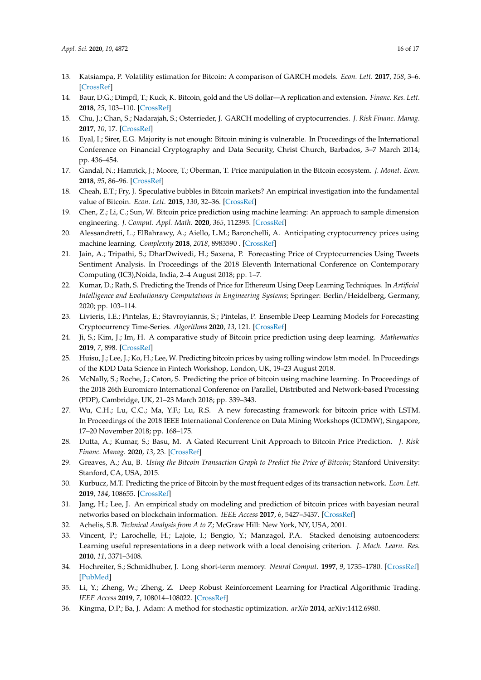- <span id="page-15-0"></span>13. Katsiampa, P. Volatility estimation for Bitcoin: A comparison of GARCH models. *Econ. Lett.* **2017**, *158*, 3–6. [\[CrossRef\]](http://dx.doi.org/10.1016/j.econlet.2017.06.023)
- 14. Baur, D.G.; Dimpfl, T.; Kuck, K. Bitcoin, gold and the US dollar—A replication and extension. *Financ. Res. Lett.* **2018**, *25*, 103–110. [\[CrossRef\]](http://dx.doi.org/10.1016/j.frl.2017.10.012)
- <span id="page-15-1"></span>15. Chu, J.; Chan, S.; Nadarajah, S.; Osterrieder, J. GARCH modelling of cryptocurrencies. *J. Risk Financ. Manag.* **2017**, *10*, 17. [\[CrossRef\]](http://dx.doi.org/10.3390/jrfm10040017)
- <span id="page-15-2"></span>16. Eyal, I.; Sirer, E.G. Majority is not enough: Bitcoin mining is vulnerable. In Proceedings of the International Conference on Financial Cryptography and Data Security, Christ Church, Barbados, 3–7 March 2014; pp. 436–454.
- <span id="page-15-3"></span>17. Gandal, N.; Hamrick, J.; Moore, T.; Oberman, T. Price manipulation in the Bitcoin ecosystem. *J. Monet. Econ.* **2018**, *95*, 86–96. [\[CrossRef\]](http://dx.doi.org/10.1016/j.jmoneco.2017.12.004)
- <span id="page-15-4"></span>18. Cheah, E.T.; Fry, J. Speculative bubbles in Bitcoin markets? An empirical investigation into the fundamental value of Bitcoin. *Econ. Lett.* **2015**, *130*, 32–36. [\[CrossRef\]](http://dx.doi.org/10.1016/j.econlet.2015.02.029)
- <span id="page-15-5"></span>19. Chen, Z.; Li, C.; Sun, W. Bitcoin price prediction using machine learning: An approach to sample dimension engineering. *J. Comput. Appl. Math.* **2020**, *365*, 112395. [\[CrossRef\]](http://dx.doi.org/10.1016/j.cam.2019.112395)
- 20. Alessandretti, L.; ElBahrawy, A.; Aiello, L.M.; Baronchelli, A. Anticipating cryptocurrency prices using machine learning. *Complexity* **2018**, *2018*, 8983590 . [\[CrossRef\]](http://dx.doi.org/10.1155/2018/8983590)
- <span id="page-15-6"></span>21. Jain, A.; Tripathi, S.; DharDwivedi, H.; Saxena, P. Forecasting Price of Cryptocurrencies Using Tweets Sentiment Analysis. In Proceedings of the 2018 Eleventh International Conference on Contemporary Computing (IC3),Noida, India, 2–4 August 2018; pp. 1–7.
- <span id="page-15-7"></span>22. Kumar, D.; Rath, S. Predicting the Trends of Price for Ethereum Using Deep Learning Techniques. In *Artificial Intelligence and Evolutionary Computations in Engineering Systems*; Springer: Berlin/Heidelberg, Germany, 2020; pp. 103–114.
- 23. Livieris, I.E.; Pintelas, E.; Stavroyiannis, S.; Pintelas, P. Ensemble Deep Learning Models for Forecasting Cryptocurrency Time-Series. *Algorithms* **2020**, *13*, 121. [\[CrossRef\]](http://dx.doi.org/10.3390/a13050121)
- <span id="page-15-8"></span>24. Ji, S.; Kim, J.; Im, H. A comparative study of Bitcoin price prediction using deep learning. *Mathematics* **2019**, *7*, 898. [\[CrossRef\]](http://dx.doi.org/10.3390/math7100898)
- <span id="page-15-9"></span>25. Huisu, J.; Lee, J.; Ko, H.; Lee, W. Predicting bitcoin prices by using rolling window lstm model. In Proceedings of the KDD Data Science in Fintech Workshop, London, UK, 19–23 August 2018.
- <span id="page-15-10"></span>26. McNally, S.; Roche, J.; Caton, S. Predicting the price of bitcoin using machine learning. In Proceedings of the 2018 26th Euromicro International Conference on Parallel, Distributed and Network-based Processing (PDP), Cambridge, UK, 21–23 March 2018; pp. 339–343.
- <span id="page-15-11"></span>27. Wu, C.H.; Lu, C.C.; Ma, Y.F.; Lu, R.S. A new forecasting framework for bitcoin price with LSTM. In Proceedings of the 2018 IEEE International Conference on Data Mining Workshops (ICDMW), Singapore, 17–20 November 2018; pp. 168–175.
- <span id="page-15-12"></span>28. Dutta, A.; Kumar, S.; Basu, M. A Gated Recurrent Unit Approach to Bitcoin Price Prediction. *J. Risk Financ. Manag.* **2020**, *13*, 23. [\[CrossRef\]](http://dx.doi.org/10.3390/jrfm13020023)
- <span id="page-15-13"></span>29. Greaves, A.; Au, B. *Using the Bitcoin Transaction Graph to Predict the Price of Bitcoin*; Stanford University: Stanford, CA, USA, 2015.
- <span id="page-15-14"></span>30. Kurbucz, M.T. Predicting the price of Bitcoin by the most frequent edges of its transaction network. *Econ. Lett.* **2019**, *184*, 108655. [\[CrossRef\]](http://dx.doi.org/10.1016/j.econlet.2019.108655)
- <span id="page-15-15"></span>31. Jang, H.; Lee, J. An empirical study on modeling and prediction of bitcoin prices with bayesian neural networks based on blockchain information. *IEEE Access* **2017**, *6*, 5427–5437. [\[CrossRef\]](http://dx.doi.org/10.1109/ACCESS.2017.2779181)
- <span id="page-15-16"></span>32. Achelis, S.B. *Technical Analysis from A to Z*; McGraw Hill: New York, NY, USA, 2001.
- <span id="page-15-17"></span>33. Vincent, P.; Larochelle, H.; Lajoie, I.; Bengio, Y.; Manzagol, P.A. Stacked denoising autoencoders: Learning useful representations in a deep network with a local denoising criterion. *J. Mach. Learn. Res.* **2010**, *11*, 3371–3408.
- <span id="page-15-18"></span>34. Hochreiter, S.; Schmidhuber, J. Long short-term memory. *Neural Comput.* **1997**, *9*, 1735–1780. [\[CrossRef\]](http://dx.doi.org/10.1162/neco.1997.9.8.1735) [\[PubMed\]](http://www.ncbi.nlm.nih.gov/pubmed/9377276)
- <span id="page-15-19"></span>35. Li, Y.; Zheng, W.; Zheng, Z. Deep Robust Reinforcement Learning for Practical Algorithmic Trading. *IEEE Access* **2019**, *7*, 108014–108022. [\[CrossRef\]](http://dx.doi.org/10.1109/ACCESS.2019.2932789)
- <span id="page-15-20"></span>36. Kingma, D.P.; Ba, J. Adam: A method for stochastic optimization. *arXiv* **2014**, arXiv:1412.6980.